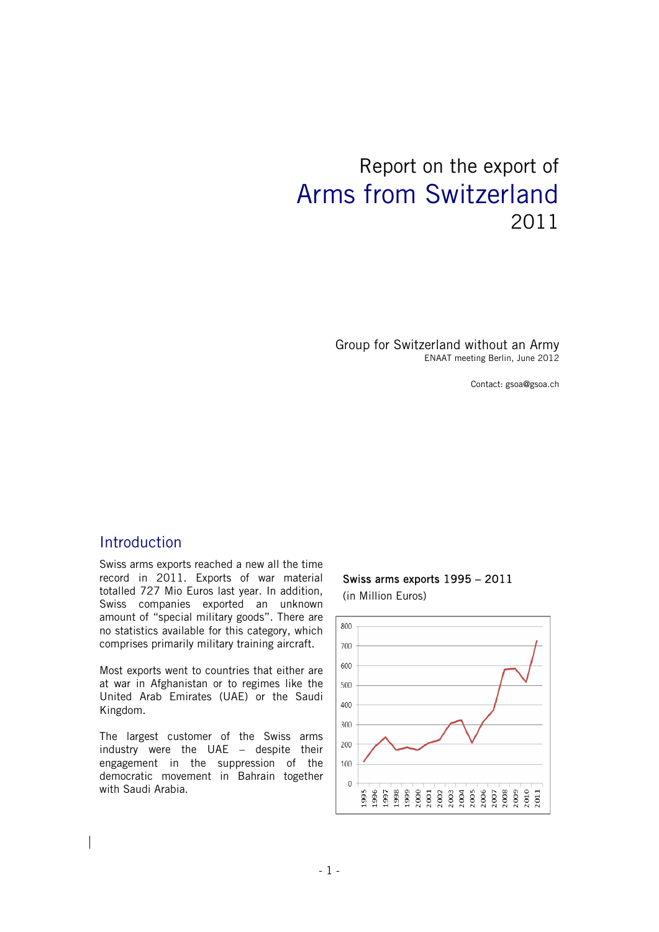# Report on the export of Arms from Switzerland 2011

Group for Switzerland without an Army ENAAT meeting Berlin, June 2012

Contact: gsoa@gsoa.ch

## Introduction

Swiss arms exports reached a new all the time record in 2011. Exports of war material totalled 727 Mio Euros last year. In addition, Swiss companies exported an unknown amount of "special military goods". There are no statistics available for this category, which comprises primarily military training aircraft.

Most exports went to countries that either are at war in Afghanistan or to regimes like the United Arab Emirates (UAE) or the Saudi Kingdom.

The largest customer of the Swiss arms industry were the UAE – despite their engagement in the suppression of the democratic movement in Bahrain together with Saudi Arabia.

#### Swiss arms exports 1995 – 2011 (in Million Euros)

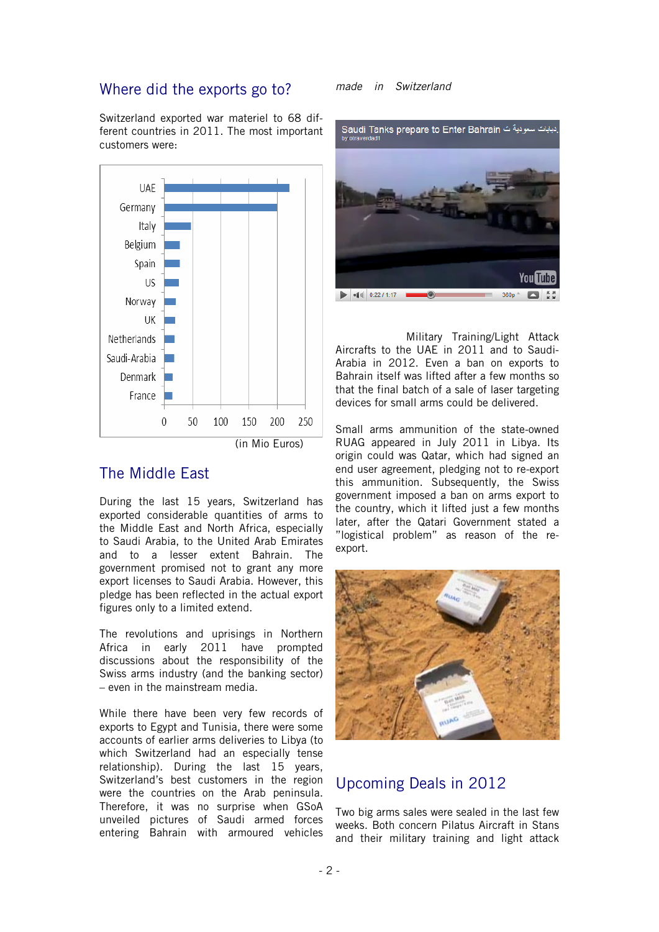#### Where did the exports go to?

Switzerland exported war materiel to 68 different countries in 2011. The most important customers were:



# The Middle East

During the last 15 years, Switzerland has exported considerable quantities of arms to the Middle East and North Africa, especially to Saudi Arabia, to the United Arab Emirates and to a lesser extent Bahrain. The government promised not to grant any more export licenses to Saudi Arabia. However, this pledge has been reflected in the actual export figures only to a limited extend.

The revolutions and uprisings in Northern Africa in early 2011 have prompted discussions about the responsibility of the Swiss arms industry (and the banking sector) – even in the mainstream media.

While there have been very few records of exports to Egypt and Tunisia, there were some accounts of earlier arms deliveries to Libya (to which Switzerland had an especially tense relationship). During the last 15 years, Switzerland's best customers in the region were the countries on the Arab peninsula. Therefore, it was no surprise when GSoA unveiled pictures of Saudi armed forces entering Bahrain with armoured vehicles

#### *made in Switzerland*



 Military Training/Light Attack Aircrafts to the UAE in 2011 and to Saudi-Arabia in 2012. Even a ban on exports to Bahrain itself was lifted after a few months so that the final batch of a sale of laser targeting devices for small arms could be delivered.

Small arms ammunition of the state-owned RUAG appeared in July 2011 in Libya. Its origin could was Qatar, which had signed an end user agreement, pledging not to re-export this ammunition. Subsequently, the Swiss government imposed a ban on arms export to the country, which it lifted just a few months later, after the Qatari Government stated a "logistical problem" as reason of the reexport.



# Upcoming Deals in 2012

Two big arms sales were sealed in the last few weeks. Both concern Pilatus Aircraft in Stans and their military training and light attack